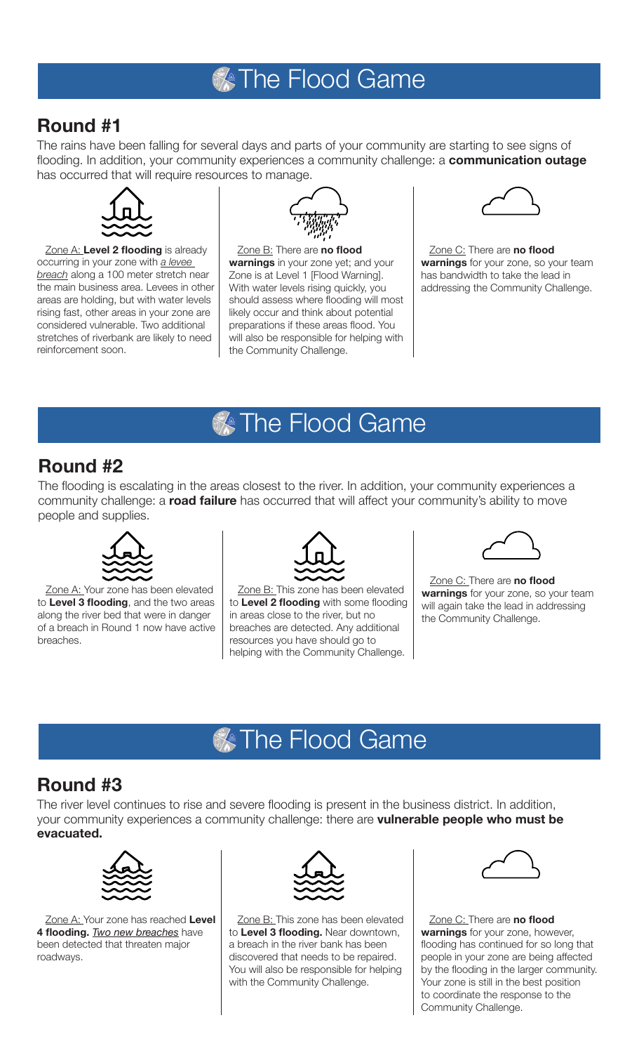## **X** The Flood Game

#### **Round #1**

The rains have been falling for several days and parts of your community are starting to see signs of flooding. In addition, your community experiences a community challenge: a **communication outage** has occurred that will require resources to manage.



Zone A: **Level 2 flooding** is already occurring in your zone with *a levee breach* along a 100 meter stretch near the main business area. Levees in other areas are holding, but with water levels rising fast, other areas in your zone are considered vulnerable. Two additional stretches of riverbank are likely to need reinforcement soon.



Zone B: There are **no flood warnings** in your zone yet; and your Zone is at Level 1 [Flood Warning]. With water levels rising quickly, you should assess where flooding will most likely occur and think about potential preparations if these areas flood. You will also be responsible for helping with the Community Challenge.



Zone C: There are **no flood warnings** for your zone, so your team has bandwidth to take the lead in addressing the Community Challenge.

## **X** The Flood Game

#### **Round #2**

The flooding is escalating in the areas closest to the river. In addition, your community experiences a community challenge: a **road failure** has occurred that will affect your community's ability to move people and supplies.



Zone A: Your zone has been elevated to **Level 3 flooding**, and the two areas along the river bed that were in danger of a breach in Round 1 now have active breaches.



Zone B: This zone has been elevated to **Level 2 flooding** with some flooding in areas close to the river, but no breaches are detected. Any additional resources you have should go to helping with the Community Challenge.



Zone C: There are **no flood warnings** for your zone, so your team will again take the lead in addressing the Community Challenge.

## **X** The Flood Game

#### **Round #3**

The river level continues to rise and severe flooding is present in the business district. In addition, your community experiences a community challenge: there are **vulnerable people who must be evacuated.** 



Zone A: Your zone has reached **Level 4 flooding.** *Two new breaches* have been detected that threaten major roadways.



Zone B: This zone has been elevated to **Level 3 flooding.** Near downtown, a breach in the river bank has been discovered that needs to be repaired. You will also be responsible for helping with the Community Challenge.

Zone C: There are **no flood warnings** for your zone, however, flooding has continued for so long that people in your zone are being affected by the flooding in the larger community. Your zone is still in the best position to coordinate the response to the Community Challenge.